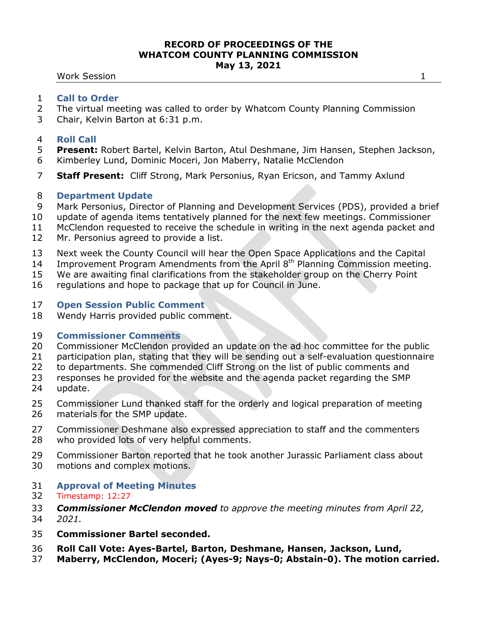Work Session 1

- The virtual meeting was called to order by Whatcom County Planning Commission
- Chair, Kelvin Barton at 6:31 p.m.

## **Roll Call**

- **Present:** Robert Bartel, Kelvin Barton, Atul Deshmane, Jim Hansen, Stephen Jackson,
- Kimberley Lund, Dominic Moceri, Jon Maberry, Natalie McClendon
- **Staff Present:** Cliff Strong, Mark Personius, Ryan Ericson, and Tammy Axlund

## **Department Update**

- Mark Personius, Director of Planning and Development Services (PDS), provided a brief
- update of agenda items tentatively planned for the next few meetings. Commissioner
- McClendon requested to receive the schedule in writing in the next agenda packet and
- Mr. Personius agreed to provide a list.
- Next week the County Council will hear the Open Space Applications and the Capital
- 14 Improvement Program Amendments from the April  $8<sup>th</sup>$  Planning Commission meeting.
- We are awaiting final clarifications from the stakeholder group on the Cherry Point
- regulations and hope to package that up for Council in June.

## **Open Session Public Comment**

Wendy Harris provided public comment.

# **Commissioner Comments**

- Commissioner McClendon provided an update on the ad hoc committee for the public
- participation plan, stating that they will be sending out a self-evaluation questionnaire
- to departments. She commended Cliff Strong on the list of public comments and
- responses he provided for the website and the agenda packet regarding the SMP update.
- Commissioner Lund thanked staff for the orderly and logical preparation of meeting
- materials for the SMP update.
- Commissioner Deshmane also expressed appreciation to staff and the commenters who provided lots of very helpful comments.
- Commissioner Barton reported that he took another Jurassic Parliament class about motions and complex motions.
- **Approval of Meeting Minutes**

# Timestamp: 12:27

- *Commissioner McClendon moved to approve the meeting minutes from April 22,*
- *2021.*
- **Commissioner Bartel seconded.**
- **Roll Call Vote: Ayes-Bartel, Barton, Deshmane, Hansen, Jackson, Lund,**
- **Maberry, McClendon, Moceri; (Ayes-9; Nays-0; Abstain-0). The motion carried.**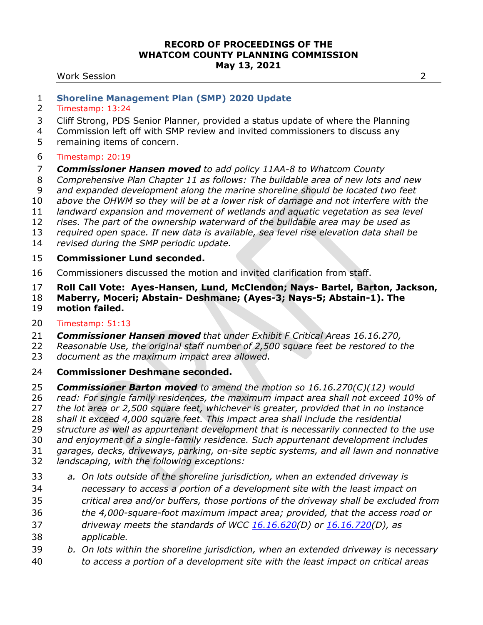#### Work Session 2

## **Shoreline Management Plan (SMP) 2020 Update**

- Timestamp: 13:24
- Cliff Strong, PDS Senior Planner, provided a status update of where the Planning
- Commission left off with SMP review and invited commissioners to discuss any
- remaining items of concern.

## Timestamp: 20:19

## *Commissioner Hansen moved to add policy 11AA-8 to Whatcom County*

- *Comprehensive Plan Chapter 11 as follows: The buildable area of new lots and new*
- *and expanded development along the marine shoreline should be located two feet*
- *above the OHWM so they will be at a lower risk of damage and not interfere with the*
- *landward expansion and movement of wetlands and aquatic vegetation as sea level*
- *rises. The part of the ownership waterward of the buildable area may be used as*
- *required open space. If new data is available, sea level rise elevation data shall be*
- *revised during the SMP periodic update.*

# **Commissioner Lund seconded.**

- Commissioners discussed the motion and invited clarification from staff.
- **Roll Call Vote: Ayes-Hansen, Lund, McClendon; Nays- Bartel, Barton, Jackson,**
- **Maberry, Moceri; Abstain- Deshmane; (Ayes-3; Nays-5; Abstain-1). The motion failed.**

# Timestamp: 51:13

- *Commissioner Hansen moved that under Exhibit F Critical Areas 16.16.270,*
- *Reasonable Use, the original staff number of 2,500 square feet be restored to the*
- *document as the maximum impact area allowed.*
- **Commissioner Deshmane seconded.**
- *Commissioner Barton moved to amend the motion so 16.16.270(C)(12) would*
- *read: For single family residences, the maximum impact area shall not exceed 10% of*
- *the lot area or 2,500 square feet, whichever is greater, provided that in no instance*
- *shall it exceed 4,000 square feet. This impact area shall include the residential*
- *structure as well as appurtenant development that is necessarily connected to the use*
- *and enjoyment of a single-family residence. Such appurtenant development includes*
- *garages, decks, driveways, parking, on-site septic systems, and all lawn and nonnative*
- *landscaping, with the following exceptions:*
- *a. On lots outside of the shoreline jurisdiction, when an extended driveway is necessary to access a portion of a development site with the least impact on critical area and/or buffers, those portions of the driveway shall be excluded from the 4,000-square-foot maximum impact area; provided, that the access road or driveway meets the standards of WCC [16.16.620\(](https://www.codepublishing.com/WA/WhatcomCounty/#!/WhatcomCounty16/WhatcomCounty1616.html#16.16.620)D) or [16.16.720\(](https://www.codepublishing.com/WA/WhatcomCounty/#!/WhatcomCounty16/WhatcomCounty1616.html#16.16.720)D), as applicable.*
- *b. On lots within the shoreline jurisdiction, when an extended driveway is necessary to access a portion of a development site with the least impact on critical areas*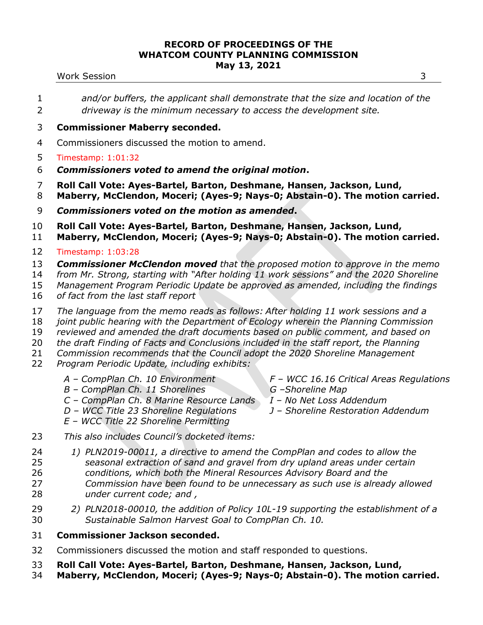#### Work Session 3

- *and/or buffers, the applicant shall demonstrate that the size and location of the driveway is the minimum necessary to access the development site.*
- **Commissioner Maberry seconded.**
- Commissioners discussed the motion to amend.
- Timestamp: 1:01:32
- *Commissioners voted to amend the original motion***.**
- **Roll Call Vote: Ayes-Bartel, Barton, Deshmane, Hansen, Jackson, Lund,**
- **Maberry, McClendon, Moceri; (Ayes-9; Nays-0; Abstain-0). The motion carried.**
- *Commissioners voted on the motion as amended***.**

**Roll Call Vote: Ayes-Bartel, Barton, Deshmane, Hansen, Jackson, Lund,** 

- **Maberry, McClendon, Moceri; (Ayes-9; Nays-0; Abstain-0). The motion carried.**
- Timestamp: 1:03:28
- *Commissioner McClendon moved that the proposed motion to approve in the memo*
- *from Mr. Strong, starting with "After holding 11 work sessions" and the 2020 Shoreline*
- *Management Program Periodic Update be approved as amended, including the findings*
- *of fact from the last staff report*
- *The language from the memo reads as follows: After holding 11 work sessions and a*
- *joint public hearing with the Department of Ecology wherein the Planning Commission*
- *reviewed and amended the draft documents based on public comment, and based on*
- *the draft Finding of Facts and Conclusions included in the staff report, the Planning*
- *Commission recommends that the Council adopt the 2020 Shoreline Management*
- *Program Periodic Update, including exhibits:*
	- *A – CompPlan Ch. 10 Environment*
- *F – WCC 16.16 Critical Areas Regulations G –Shoreline Map*
- *B – CompPlan Ch. 11 Shorelines*
- *C – CompPlan Ch. 8 Marine Resource Lands D – WCC Title 23 Shoreline Regulations*
- *I – No Net Loss Addendum*
- *J – Shoreline Restoration Addendum*
- *E – WCC Title 22 Shoreline Permitting*
- *This also includes Council's docketed items:*
- *1) PLN2019-00011, a directive to amend the CompPlan and codes to allow the seasonal extraction of sand and gravel from dry upland areas under certain conditions, which both the Mineral Resources Advisory Board and the Commission have been found to be unnecessary as such use is already allowed under current code; and ,*
- *2) PLN2018-00010, the addition of Policy 10L-19 supporting the establishment of a Sustainable Salmon Harvest Goal to CompPlan Ch. 10.*
- **Commissioner Jackson seconded.**
- Commissioners discussed the motion and staff responded to questions.
- **Roll Call Vote: Ayes-Bartel, Barton, Deshmane, Hansen, Jackson, Lund,**
- **Maberry, McClendon, Moceri; (Ayes-9; Nays-0; Abstain-0). The motion carried.**